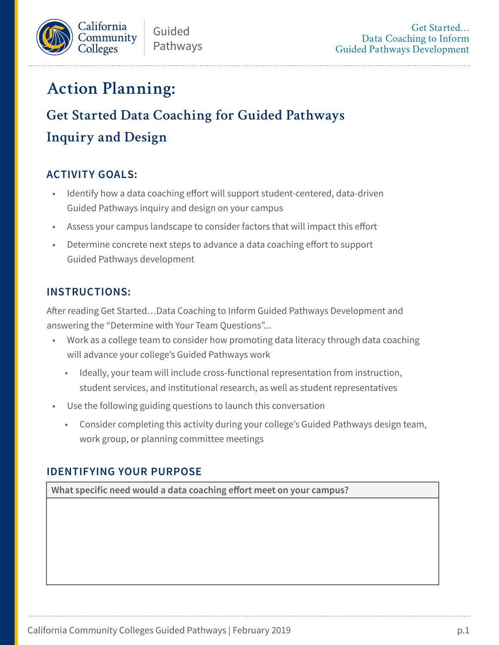

# **Action Planning:**

# **Get Started Data Coaching for Guided Pathways Inquiry and Design**

## **ACTIVITY GOALS:**

- Identify how a data coaching effort will support student-centered, data-driven Guided Pathways inquiry and design on your campus
- Assess your campus landscape to consider factors that will impact this effort
- Determine concrete next steps to advance a data coaching effort to support Guided Pathways development

#### **INSTRUCTIONS:**

After reading Get Started…Data Coaching to Inform Guided Pathways Development and answering the "Determine with Your Team Questions"...

- Work as a college team to consider how promoting data literacy through data coaching will advance your college's Guided Pathways work
	- Ideally, your team will include cross-functional representation from instruction, student services, and institutional research, as well as student representatives
- Use the following guiding questions to launch this conversation
	- Consider completing this activity during your college's Guided Pathways design team, work group, or planning committee meetings

#### **IDENTIFYING YOUR PURPOSE**

**What specific need would a data coaching effort meet on your campus?**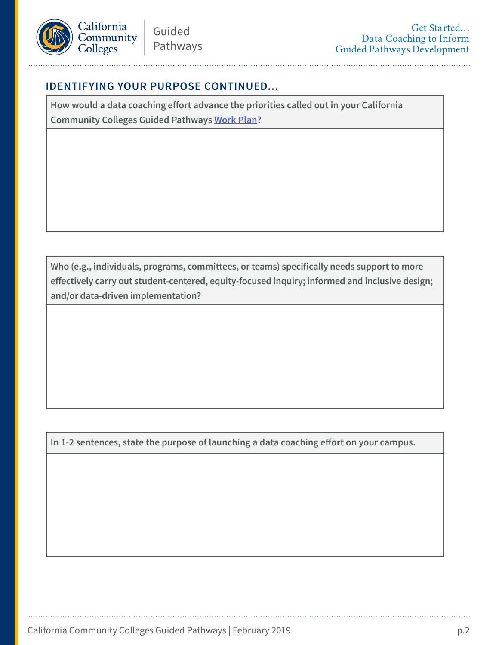

#### **IDENTIFYING YOUR PURPOSE CONTINUED...**

**How would a data coaching effort advance the priorities called out in your California Community Colleges Guided Pathways [Work Plan?](http://cccgp.cccco.edu/Portals/0/GPWorkPlanInstructions.pdf)**

**Who (e.g., individuals, programs, committees, or teams) specifically needs support to more effectively carry out student-centered, equity-focused inquiry; informed and inclusive design; and/or data-driven implementation?**

**In 1-2 sentences, state the purpose of launching a data coaching effort on your campus.**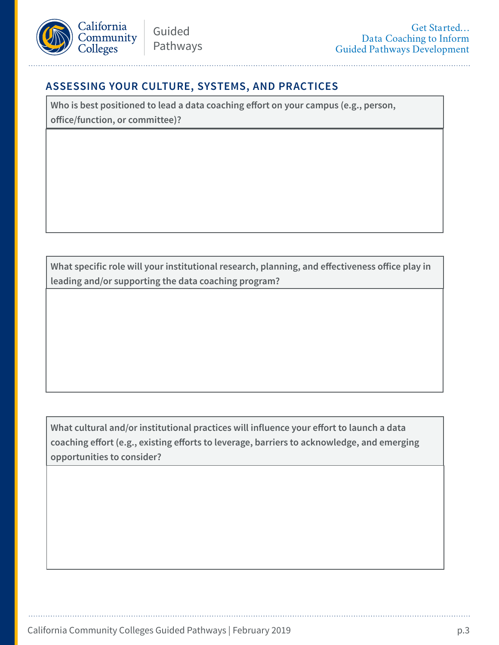

### **ASSESSING YOUR CULTURE, SYSTEMS, AND PRACTICES**

**Who is best positioned to lead a data coaching effort on your campus (e.g., person, office/function, or committee)?**

**What specific role will your institutional research, planning, and effectiveness office play in leading and/or supporting the data coaching program?**

**What cultural and/or institutional practices will influence your effort to launch a data coaching effort (e.g., existing efforts to leverage, barriers to acknowledge, and emerging opportunities to consider?**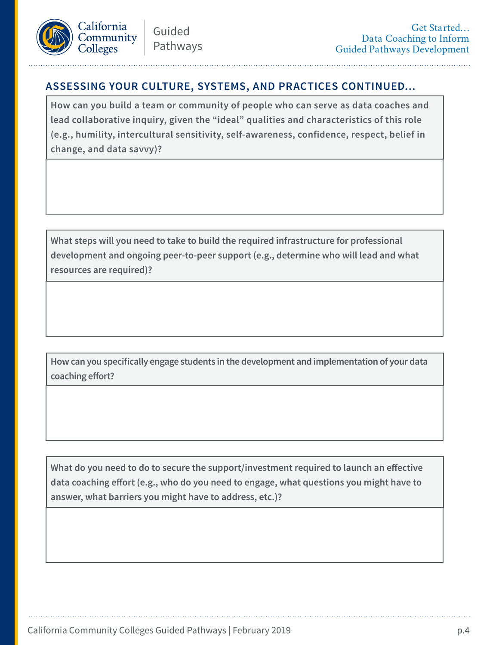

### **ASSESSING YOUR CULTURE, SYSTEMS, AND PRACTICES CONTINUED...**

**How can you build a team or community of people who can serve as data coaches and lead collaborative inquiry, given the "ideal" qualities and characteristics of this role (e.g., humility, intercultural sensitivity, self-awareness, confidence, respect, belief in change, and data savvy)?**

**What steps will you need to take to build the required infrastructure for professional development and ongoing peer-to-peer support (e.g., determine who will lead and what resources are required)?**

**How can you specifically engage students in the development and implementation of your data coaching effort?**

**What do you need to do to secure the support/investment required to launch an effective data coaching effort (e.g., who do you need to engage, what questions you might have to answer, what barriers you might have to address, etc.)?**